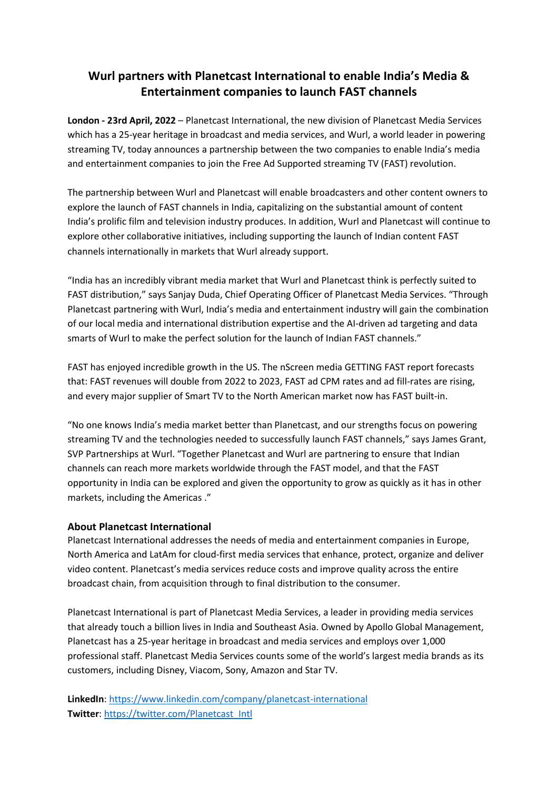## **Wurl partners with Planetcast International to enable India's Media & Entertainment companies to launch FAST channels**

**London - 23rd April, 2022** – Planetcast International, the new division of Planetcast Media Services which has a 25-year heritage in broadcast and media services, and Wurl, a world leader in powering streaming TV, today announces a partnership between the two companies to enable India's media and entertainment companies to join the Free Ad Supported streaming TV (FAST) revolution.

The partnership between Wurl and Planetcast will enable broadcasters and other content owners to explore the launch of FAST channels in India, capitalizing on the substantial amount of content India's prolific film and television industry produces. In addition, Wurl and Planetcast will continue to explore other collaborative initiatives, including supporting the launch of Indian content FAST channels internationally in markets that Wurl already support.

"India has an incredibly vibrant media market that Wurl and Planetcast think is perfectly suited to FAST distribution," says Sanjay Duda, Chief Operating Officer of Planetcast Media Services. "Through Planetcast partnering with Wurl, India's media and entertainment industry will gain the combination of our local media and international distribution expertise and the AI-driven ad targeting and data smarts of Wurl to make the perfect solution for the launch of Indian FAST channels."

FAST has enjoyed incredible growth in the US. The nScreen media GETTING FAST report forecasts that: FAST revenues will double from 2022 to 2023, FAST ad CPM rates and ad fill-rates are rising, and every major supplier of Smart TV to the North American market now has FAST built-in.

"No one knows India's media market better than Planetcast, and our strengths focus on powering streaming TV and the technologies needed to successfully launch FAST channels," says James Grant, SVP Partnerships at Wurl. "Together Planetcast and Wurl are partnering to ensure that Indian channels can reach more markets worldwide through the FAST model, and that the FAST opportunity in India can be explored and given the opportunity to grow as quickly as it has in other markets, including the Americas ."

## **About Planetcast International**

Planetcast International addresses the needs of media and entertainment companies in Europe, North America and LatAm for cloud-first media services that enhance, protect, organize and deliver video content. Planetcast's media services reduce costs and improve quality across the entire broadcast chain, from acquisition through to final distribution to the consumer.

Planetcast International is part of Planetcast Media Services, a leader in providing media services that already touch a billion lives in India and Southeast Asia. Owned by Apollo Global Management, Planetcast has a 25-year heritage in broadcast and media services and employs over 1,000 professional staff. Planetcast Media Services counts some of the world's largest media brands as its customers, including Disney, Viacom, Sony, Amazon and Star TV.

**LinkedIn**:<https://www.linkedin.com/company/planetcast-international> **Twitter**: [https://twitter.com/Planetcast\\_Intl](https://twitter.com/Planetcast_Intl)